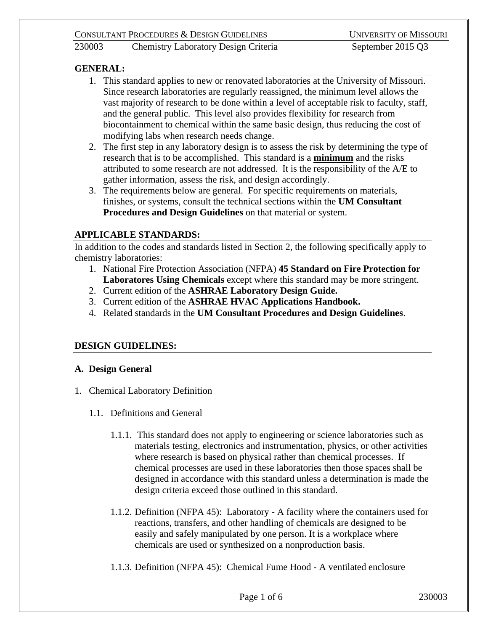## 230003 Chemistry Laboratory Design Criteria September 2015 Q3

## **GENERAL:**

- 1. This standard applies to new or renovated laboratories at the University of Missouri. Since research laboratories are regularly reassigned, the minimum level allows the vast majority of research to be done within a level of acceptable risk to faculty, staff, and the general public. This level also provides flexibility for research from biocontainment to chemical within the same basic design, thus reducing the cost of modifying labs when research needs change.
- 2. The first step in any laboratory design is to assess the risk by determining the type of research that is to be accomplished. This standard is a **minimum** and the risks attributed to some research are not addressed. It is the responsibility of the A/E to gather information, assess the risk, and design accordingly.
- 3. The requirements below are general. For specific requirements on materials, finishes, or systems, consult the technical sections within the **UM Consultant Procedures and Design Guidelines** on that material or system.

# **APPLICABLE STANDARDS:**

In addition to the codes and standards listed in Section 2, the following specifically apply to chemistry laboratories:

- 1. National Fire Protection Association (NFPA) **45 Standard on Fire Protection for Laboratores Using Chemicals** except where this standard may be more stringent.
- 2. Current edition of the **ASHRAE Laboratory Design Guide.**
- 3. Current edition of the **ASHRAE HVAC Applications Handbook.**
- 4. Related standards in the **UM Consultant Procedures and Design Guidelines**.

# **DESIGN GUIDELINES:**

### **A. Design General**

- 1. Chemical Laboratory Definition
	- 1.1. Definitions and General
		- 1.1.1. This standard does not apply to engineering or science laboratories such as materials testing, electronics and instrumentation, physics, or other activities where research is based on physical rather than chemical processes. If chemical processes are used in these laboratories then those spaces shall be designed in accordance with this standard unless a determination is made the design criteria exceed those outlined in this standard.
		- 1.1.2. Definition (NFPA 45): Laboratory A facility where the containers used for reactions, transfers, and other handling of chemicals are designed to be easily and safely manipulated by one person. It is a workplace where chemicals are used or synthesized on a nonproduction basis.
		- 1.1.3. Definition (NFPA 45): Chemical Fume Hood A ventilated enclosure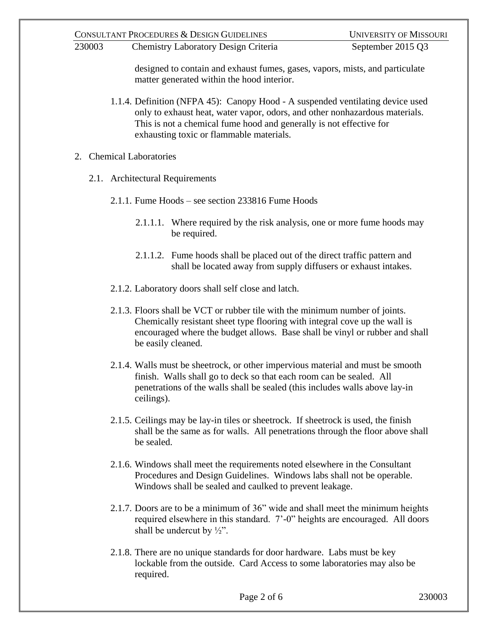230003 Chemistry Laboratory Design Criteria September 2015 Q3

designed to contain and exhaust fumes, gases, vapors, mists, and particulate matter generated within the hood interior.

- 1.1.4. Definition (NFPA 45): Canopy Hood A suspended ventilating device used only to exhaust heat, water vapor, odors, and other nonhazardous materials. This is not a chemical fume hood and generally is not effective for exhausting toxic or flammable materials.
- 2. Chemical Laboratories
	- 2.1. Architectural Requirements
		- 2.1.1. Fume Hoods see section 233816 Fume Hoods
			- 2.1.1.1. Where required by the risk analysis, one or more fume hoods may be required.
			- 2.1.1.2. Fume hoods shall be placed out of the direct traffic pattern and shall be located away from supply diffusers or exhaust intakes.
		- 2.1.2. Laboratory doors shall self close and latch.
		- 2.1.3. Floors shall be VCT or rubber tile with the minimum number of joints. Chemically resistant sheet type flooring with integral cove up the wall is encouraged where the budget allows. Base shall be vinyl or rubber and shall be easily cleaned.
		- 2.1.4. Walls must be sheetrock, or other impervious material and must be smooth finish. Walls shall go to deck so that each room can be sealed. All penetrations of the walls shall be sealed (this includes walls above lay-in ceilings).
		- 2.1.5. Ceilings may be lay-in tiles or sheetrock. If sheetrock is used, the finish shall be the same as for walls. All penetrations through the floor above shall be sealed.
		- 2.1.6. Windows shall meet the requirements noted elsewhere in the Consultant Procedures and Design Guidelines. Windows labs shall not be operable. Windows shall be sealed and caulked to prevent leakage.
		- 2.1.7. Doors are to be a minimum of 36" wide and shall meet the minimum heights required elsewhere in this standard. 7'-0" heights are encouraged. All doors shall be undercut by  $\frac{1}{2}$ ".
		- 2.1.8. There are no unique standards for door hardware. Labs must be key lockable from the outside. Card Access to some laboratories may also be required.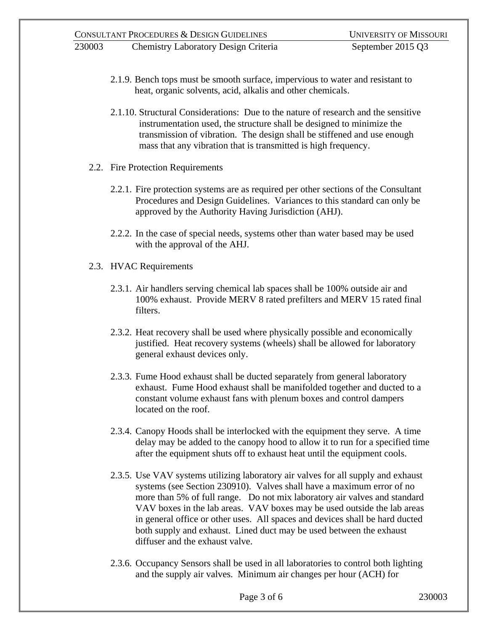- 2.1.9. Bench tops must be smooth surface, impervious to water and resistant to heat, organic solvents, acid, alkalis and other chemicals.
- 2.1.10. Structural Considerations: Due to the nature of research and the sensitive instrumentation used, the structure shall be designed to minimize the transmission of vibration. The design shall be stiffened and use enough mass that any vibration that is transmitted is high frequency.
- 2.2. Fire Protection Requirements
	- 2.2.1. Fire protection systems are as required per other sections of the Consultant Procedures and Design Guidelines. Variances to this standard can only be approved by the Authority Having Jurisdiction (AHJ).
	- 2.2.2. In the case of special needs, systems other than water based may be used with the approval of the AHJ.
- 2.3. HVAC Requirements
	- 2.3.1. Air handlers serving chemical lab spaces shall be 100% outside air and 100% exhaust. Provide MERV 8 rated prefilters and MERV 15 rated final filters.
	- 2.3.2. Heat recovery shall be used where physically possible and economically justified. Heat recovery systems (wheels) shall be allowed for laboratory general exhaust devices only.
	- 2.3.3. Fume Hood exhaust shall be ducted separately from general laboratory exhaust. Fume Hood exhaust shall be manifolded together and ducted to a constant volume exhaust fans with plenum boxes and control dampers located on the roof.
	- 2.3.4. Canopy Hoods shall be interlocked with the equipment they serve. A time delay may be added to the canopy hood to allow it to run for a specified time after the equipment shuts off to exhaust heat until the equipment cools.
	- 2.3.5. Use VAV systems utilizing laboratory air valves for all supply and exhaust systems (see Section 230910). Valves shall have a maximum error of no more than 5% of full range. Do not mix laboratory air valves and standard VAV boxes in the lab areas. VAV boxes may be used outside the lab areas in general office or other uses. All spaces and devices shall be hard ducted both supply and exhaust. Lined duct may be used between the exhaust diffuser and the exhaust valve.
	- 2.3.6. Occupancy Sensors shall be used in all laboratories to control both lighting and the supply air valves. Minimum air changes per hour (ACH) for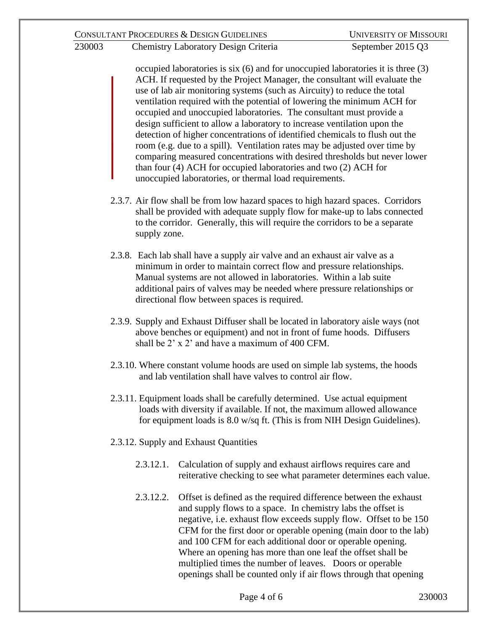occupied laboratories is six (6) and for unoccupied laboratories it is three (3) ACH. If requested by the Project Manager, the consultant will evaluate the use of lab air monitoring systems (such as Aircuity) to reduce the total ventilation required with the potential of lowering the minimum ACH for occupied and unoccupied laboratories. The consultant must provide a design sufficient to allow a laboratory to increase ventilation upon the detection of higher concentrations of identified chemicals to flush out the room (e.g. due to a spill). Ventilation rates may be adjusted over time by comparing measured concentrations with desired thresholds but never lower than four (4) ACH for occupied laboratories and two (2) ACH for unoccupied laboratories, or thermal load requirements.

- 2.3.7. Air flow shall be from low hazard spaces to high hazard spaces. Corridors shall be provided with adequate supply flow for make-up to labs connected to the corridor. Generally, this will require the corridors to be a separate supply zone.
- 2.3.8. Each lab shall have a supply air valve and an exhaust air valve as a minimum in order to maintain correct flow and pressure relationships. Manual systems are not allowed in laboratories. Within a lab suite additional pairs of valves may be needed where pressure relationships or directional flow between spaces is required.
- 2.3.9. Supply and Exhaust Diffuser shall be located in laboratory aisle ways (not above benches or equipment) and not in front of fume hoods. Diffusers shall be 2' x 2' and have a maximum of 400 CFM.
- 2.3.10. Where constant volume hoods are used on simple lab systems, the hoods and lab ventilation shall have valves to control air flow.
- 2.3.11. Equipment loads shall be carefully determined. Use actual equipment loads with diversity if available. If not, the maximum allowed allowance for equipment loads is 8.0 w/sq ft. (This is from NIH Design Guidelines).
- 2.3.12. Supply and Exhaust Quantities
	- 2.3.12.1. Calculation of supply and exhaust airflows requires care and reiterative checking to see what parameter determines each value.
	- 2.3.12.2. Offset is defined as the required difference between the exhaust and supply flows to a space. In chemistry labs the offset is negative, i.e. exhaust flow exceeds supply flow. Offset to be 150 CFM for the first door or operable opening (main door to the lab) and 100 CFM for each additional door or operable opening. Where an opening has more than one leaf the offset shall be multiplied times the number of leaves. Doors or operable openings shall be counted only if air flows through that opening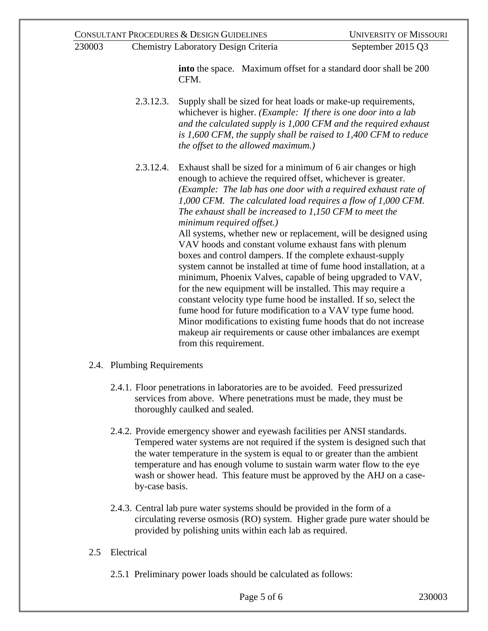CONSULTANT PROCEDURES & DESIGN GUIDELINES UNIVERSITY OF MISSOURI 230003 Chemistry Laboratory Design Criteria September 2015 Q3 **into** the space. Maximum offset for a standard door shall be 200 CFM. 2.3.12.3. Supply shall be sized for heat loads or make-up requirements, whichever is higher. *(Example: If there is one door into a lab and the calculated supply is 1,000 CFM and the required exhaust is 1,600 CFM, the supply shall be raised to 1,400 CFM to reduce the offset to the allowed maximum.)*

2.3.12.4. Exhaust shall be sized for a minimum of 6 air changes or high enough to achieve the required offset, whichever is greater. *(Example: The lab has one door with a required exhaust rate of 1,000 CFM. The calculated load requires a flow of 1,000 CFM. The exhaust shall be increased to 1,150 CFM to meet the minimum required offset.)* All systems, whether new or replacement, will be designed using

VAV hoods and constant volume exhaust fans with plenum boxes and control dampers. If the complete exhaust-supply system cannot be installed at time of fume hood installation, at a minimum, Phoenix Valves, capable of being upgraded to VAV, for the new equipment will be installed. This may require a constant velocity type fume hood be installed. If so, select the fume hood for future modification to a VAV type fume hood. Minor modifications to existing fume hoods that do not increase makeup air requirements or cause other imbalances are exempt from this requirement.

- 2.4. Plumbing Requirements
	- 2.4.1. Floor penetrations in laboratories are to be avoided. Feed pressurized services from above. Where penetrations must be made, they must be thoroughly caulked and sealed.
	- 2.4.2. Provide emergency shower and eyewash facilities per ANSI standards. Tempered water systems are not required if the system is designed such that the water temperature in the system is equal to or greater than the ambient temperature and has enough volume to sustain warm water flow to the eye wash or shower head. This feature must be approved by the AHJ on a caseby-case basis.
	- 2.4.3. Central lab pure water systems should be provided in the form of a circulating reverse osmosis (RO) system. Higher grade pure water should be provided by polishing units within each lab as required.
- 2.5 Electrical
	- 2.5.1 Preliminary power loads should be calculated as follows: